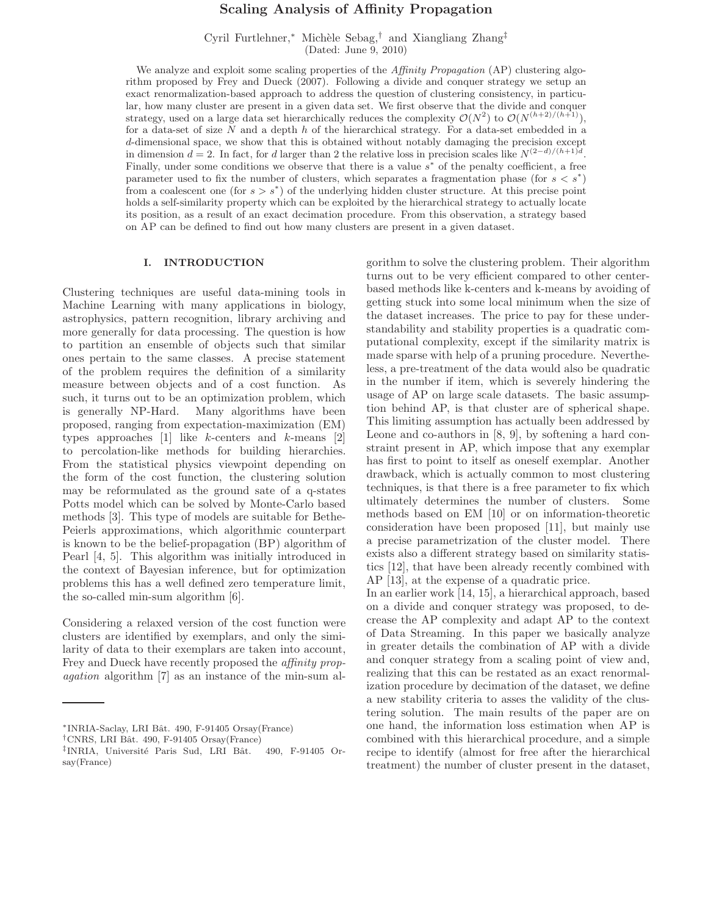# Scaling Analysis of Affinity Propagation

Cyril Furtlehner,<sup>∗</sup> Mich`ele Sebag,† and Xiangliang Zhang‡ (Dated: June 9, 2010)

We analyze and exploit some scaling properties of the *Affinity Propagation* (AP) clustering algorithm proposed by Frey and Dueck (2007). Following a divide and conquer strategy we setup an exact renormalization-based approach to address the question of clustering consistency, in particular, how many cluster are present in a given data set. We first observe that the divide and conquer strategy, used on a large data set hierarchically reduces the complexity  $\mathcal{O}(N^2)$  to  $\mathcal{O}(N^{(h+2)/(h+1)})$ , for a data-set of size  $N$  and a depth  $h$  of the hierarchical strategy. For a data-set embedded in a d-dimensional space, we show that this is obtained without notably damaging the precision except in dimension  $d = 2$ . In fact, for d larger than 2 the relative loss in precision scales like  $N^{(2-d)/(h+1)d}$ . Finally, under some conditions we observe that there is a value  $s^*$  of the penalty coefficient, a free parameter used to fix the number of clusters, which separates a fragmentation phase (for  $s < s^*$ ) from a coalescent one (for  $s > s^*$ ) of the underlying hidden cluster structure. At this precise point holds a self-similarity property which can be exploited by the hierarchical strategy to actually locate its position, as a result of an exact decimation procedure. From this observation, a strategy based on AP can be defined to find out how many clusters are present in a given dataset.

# I. INTRODUCTION

Clustering techniques are useful data-mining tools in Machine Learning with many applications in biology, astrophysics, pattern recognition, library archiving and more generally for data processing. The question is how to partition an ensemble of objects such that similar ones pertain to the same classes. A precise statement of the problem requires the definition of a similarity measure between objects and of a cost function. As such, it turns out to be an optimization problem, which is generally NP-Hard. Many algorithms have been proposed, ranging from expectation-maximization (EM) types approaches  $[1]$  like k-centers and k-means  $[2]$ to percolation-like methods for building hierarchies. From the statistical physics viewpoint depending on the form of the cost function, the clustering solution may be reformulated as the ground sate of a q-states Potts model which can be solved by Monte-Carlo based methods [3]. This type of models are suitable for Bethe-Peierls approximations, which algorithmic counterpart is known to be the belief-propagation (BP) algorithm of Pearl [4, 5]. This algorithm was initially introduced in the context of Bayesian inference, but for optimization problems this has a well defined zero temperature limit, the so-called min-sum algorithm [6].

Considering a relaxed version of the cost function were clusters are identified by exemplars, and only the similarity of data to their exemplars are taken into account, Frey and Dueck have recently proposed the *affinity prop*agation algorithm [7] as an instance of the min-sum algorithm to solve the clustering problem. Their algorithm turns out to be very efficient compared to other centerbased methods like k-centers and k-means by avoiding of getting stuck into some local minimum when the size of the dataset increases. The price to pay for these understandability and stability properties is a quadratic computational complexity, except if the similarity matrix is made sparse with help of a pruning procedure. Nevertheless, a pre-treatment of the data would also be quadratic in the number if item, which is severely hindering the usage of AP on large scale datasets. The basic assumption behind AP, is that cluster are of spherical shape. This limiting assumption has actually been addressed by Leone and co-authors in [8, 9], by softening a hard constraint present in AP, which impose that any exemplar has first to point to itself as oneself exemplar. Another drawback, which is actually common to most clustering techniques, is that there is a free parameter to fix which ultimately determines the number of clusters. Some methods based on EM [10] or on information-theoretic consideration have been proposed [11], but mainly use a precise parametrization of the cluster model. There exists also a different strategy based on similarity statistics [12], that have been already recently combined with AP [13], at the expense of a quadratic price.

In an earlier work [14, 15], a hierarchical approach, based on a divide and conquer strategy was proposed, to decrease the AP complexity and adapt AP to the context of Data Streaming. In this paper we basically analyze in greater details the combination of AP with a divide and conquer strategy from a scaling point of view and, realizing that this can be restated as an exact renormalization procedure by decimation of the dataset, we define a new stability criteria to asses the validity of the clustering solution. The main results of the paper are on one hand, the information loss estimation when AP is combined with this hierarchical procedure, and a simple recipe to identify (almost for free after the hierarchical treatment) the number of cluster present in the dataset,

<sup>∗</sup>INRIA-Saclay, LRI Bˆat. 490, F-91405 Orsay(France)

<sup>&</sup>lt;sup>†</sup>CNRS, LRI Bât. 490, F-91405 Orsay(France)

<sup>&</sup>lt;sup>‡</sup>INRIA, Université Paris Sud, LRI Bât. 490, F-91405 Orsay(France)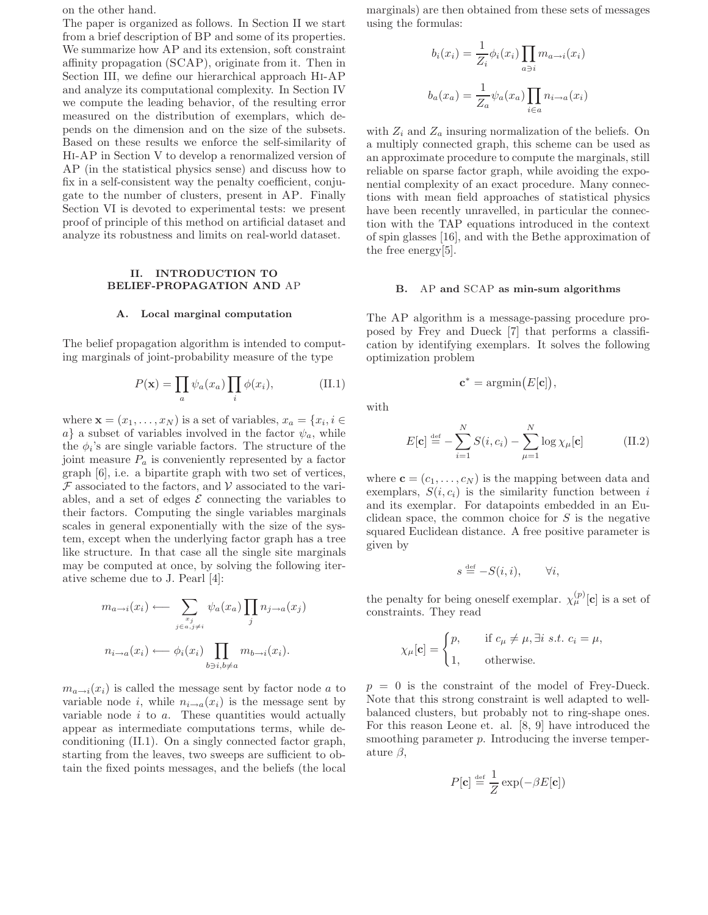on the other hand.

The paper is organized as follows. In Section II we start from a brief description of BP and some of its properties. We summarize how AP and its extension, soft constraint affinity propagation (SCAP), originate from it. Then in Section III, we define our hierarchical approach Hi-AP and analyze its computational complexity. In Section IV we compute the leading behavior, of the resulting error measured on the distribution of exemplars, which depends on the dimension and on the size of the subsets. Based on these results we enforce the self-similarity of Hi-AP in Section V to develop a renormalized version of AP (in the statistical physics sense) and discuss how to fix in a self-consistent way the penalty coefficient, conjugate to the number of clusters, present in AP. Finally Section VI is devoted to experimental tests: we present proof of principle of this method on artificial dataset and analyze its robustness and limits on real-world dataset.

# II. INTRODUCTION TO BELIEF-PROPAGATION AND AP

### A. Local marginal computation

The belief propagation algorithm is intended to computing marginals of joint-probability measure of the type

$$
P(\mathbf{x}) = \prod_{a} \psi_a(x_a) \prod_{i} \phi(x_i), \tag{II.1}
$$

where  $\mathbf{x} = (x_1, \dots, x_N)$  is a set of variables,  $x_a = \{x_i, i \in$ a} a subset of variables involved in the factor  $\psi_a$ , while the  $\phi_i$ 's are single variable factors. The structure of the joint measure  $P_a$  is conveniently represented by a factor graph [6], i.e. a bipartite graph with two set of vertices,  $\mathcal F$  associated to the factors, and  $\mathcal V$  associated to the variables, and a set of edges  $\mathcal E$  connecting the variables to their factors. Computing the single variables marginals scales in general exponentially with the size of the system, except when the underlying factor graph has a tree like structure. In that case all the single site marginals may be computed at once, by solving the following iterative scheme due to J. Pearl [4]:

$$
m_{a \to i}(x_i) \longleftarrow \sum_{\substack{x_j \\ j \in a, j \neq i}} \psi_a(x_a) \prod_j n_{j \to a}(x_j)
$$

$$
n_{i \to a}(x_i) \longleftarrow \phi_i(x_i) \prod_{b \ni i, b \neq a} m_{b \to i}(x_i).
$$

 $m_{a\rightarrow i}(x_i)$  is called the message sent by factor node a to variable node i, while  $n_{i\rightarrow a}(x_i)$  is the message sent by variable node  $i$  to  $a$ . These quantities would actually appear as intermediate computations terms, while deconditioning (II.1). On a singly connected factor graph, starting from the leaves, two sweeps are sufficient to obtain the fixed points messages, and the beliefs (the local marginals) are then obtained from these sets of messages using the formulas:

$$
b_i(x_i) = \frac{1}{Z_i} \phi_i(x_i) \prod_{a \ni i} m_{a \to i}(x_i)
$$

$$
b_a(x_a) = \frac{1}{Z_a} \psi_a(x_a) \prod_{i \in a} n_{i \to a}(x_i)
$$

with  $Z_i$  and  $Z_a$  insuring normalization of the beliefs. On a multiply connected graph, this scheme can be used as an approximate procedure to compute the marginals, still reliable on sparse factor graph, while avoiding the exponential complexity of an exact procedure. Many connections with mean field approaches of statistical physics have been recently unravelled, in particular the connection with the TAP equations introduced in the context of spin glasses [16], and with the Bethe approximation of the free energy[5].

#### B. AP and SCAP as min-sum algorithms

The AP algorithm is a message-passing procedure proposed by Frey and Dueck [7] that performs a classification by identifying exemplars. It solves the following optimization problem

$$
\mathbf{c}^* = \operatorname{argmin}(E[\mathbf{c}]),
$$

with

$$
E[\mathbf{c}] \stackrel{\text{def}}{=} -\sum_{i=1}^{N} S(i, c_i) - \sum_{\mu=1}^{N} \log \chi_{\mu}[\mathbf{c}] \tag{II.2}
$$

where  $\mathbf{c} = (c_1, \ldots, c_N)$  is the mapping between data and exemplars,  $S(i, c_i)$  is the similarity function between i and its exemplar. For datapoints embedded in an Euclidean space, the common choice for  $S$  is the negative squared Euclidean distance. A free positive parameter is given by

$$
s \stackrel{\text{def}}{=} -S(i,i), \qquad \forall i,
$$

the penalty for being oneself exemplar.  $\chi_{\mu}^{(p)}[\mathbf{c}]$  is a set of constraints. They read

$$
\chi_{\mu}[\mathbf{c}] = \begin{cases} p, & \text{if } c_{\mu} \neq \mu, \exists i \ s.t. \ c_i = \mu, \\ 1, & \text{otherwise.} \end{cases}
$$

 $p = 0$  is the constraint of the model of Frey-Dueck. Note that this strong constraint is well adapted to wellbalanced clusters, but probably not to ring-shape ones. For this reason Leone et. al. [8, 9] have introduced the smoothing parameter  $p$ . Introducing the inverse temperature  $\beta$ .

$$
P[\mathbf{c}] \stackrel{\text{def}}{=} \frac{1}{Z} \exp(-\beta E[\mathbf{c}])
$$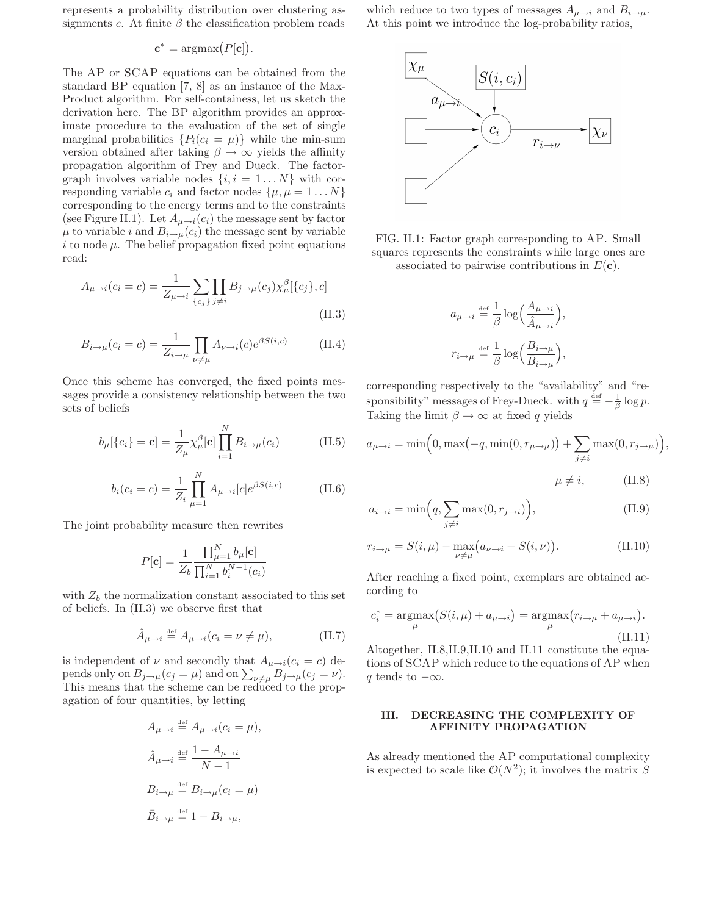represents a probability distribution over clustering assignments c. At finite  $\beta$  the classification problem reads

$$
\mathbf{c}^* = \operatorname{argmax}(P[\mathbf{c}]).
$$

The AP or SCAP equations can be obtained from the standard BP equation [7, 8] as an instance of the Max-Product algorithm. For self-containess, let us sketch the derivation here. The BP algorithm provides an approximate procedure to the evaluation of the set of single marginal probabilities  $\{P_i(c_i = \mu)\}\$  while the min-sum version obtained after taking  $\beta \to \infty$  yields the affinity propagation algorithm of Frey and Dueck. The factorgraph involves variable nodes  $\{i, i = 1...N\}$  with corresponding variable  $c_i$  and factor nodes  $\{\mu, \mu = 1 \dots N\}$ corresponding to the energy terms and to the constraints (see Figure II.1). Let  $A_{\mu \to i}(c_i)$  the message sent by factor  $\mu$  to variable *i* and  $B_{i\to\mu}(c_i)$  the message sent by variable  $i$  to node  $\mu$ . The belief propagation fixed point equations read:

$$
A_{\mu \to i}(c_i = c) = \frac{1}{Z_{\mu \to i}} \sum_{\{c_j\}} \prod_{j \neq i} B_{j \to \mu}(c_j) \chi_{\mu}^{\beta}[\{c_j\}, c]
$$
(II.3)

$$
B_{i \to \mu}(c_i = c) = \frac{1}{Z_{i \to \mu}} \prod_{\nu \neq \mu} A_{\nu \to i}(c) e^{\beta S(i, c)}
$$
(II.4)

Once this scheme has converged, the fixed points messages provide a consistency relationship between the two sets of beliefs

$$
b_{\mu}[\{c_i\} = \mathbf{c}] = \frac{1}{Z_{\mu}} \chi_{\mu}^{\beta}[\mathbf{c}] \prod_{i=1}^{N} B_{i \to \mu}(c_i)
$$
 (II.5)

$$
b_i(c_i = c) = \frac{1}{Z_i} \prod_{\mu=1}^{N} A_{\mu \to i}[c] e^{\beta S(i,c)}
$$
(II.6)

The joint probability measure then rewrites

$$
P[\mathbf{c}] = \frac{1}{Z_b} \frac{\prod_{\mu=1}^{N} b_{\mu}[\mathbf{c}]}{\prod_{i=1}^{N} b_i^{N-1}(c_i)}
$$

with  $Z_b$  the normalization constant associated to this set of beliefs. In (II.3) we observe first that

$$
\hat{A}_{\mu \to i} \stackrel{\text{def}}{=} A_{\mu \to i} (c_i = \nu \neq \mu), \tag{II.7}
$$

is independent of  $\nu$  and secondly that  $A_{\mu \to i}(c_i = c)$  depends only on  $B_{j\rightarrow\mu}(c_j=\mu)$  and on  $\sum_{\nu\neq\mu}B_{j\rightarrow\mu}(c_j=\nu)$ . This means that the scheme can be reduced to the propagation of four quantities, by letting

$$
A_{\mu \to i} \stackrel{\text{def}}{=} A_{\mu \to i} (c_i = \mu),
$$
  

$$
\hat{A}_{\mu \to i} \stackrel{\text{def}}{=} \frac{1 - A_{\mu \to i}}{N - 1}
$$
  

$$
B_{i \to \mu} \stackrel{\text{def}}{=} B_{i \to \mu} (c_i = \mu)
$$
  

$$
\bar{B}_{i \to \mu} \stackrel{\text{def}}{=} 1 - B_{i \to \mu},
$$

which reduce to two types of messages  $A_{\mu \to i}$  and  $B_{i \to \mu}$ . At this point we introduce the log-probability ratios,



FIG. II.1: Factor graph corresponding to AP. Small squares represents the constraints while large ones are associated to pairwise contributions in  $E(\mathbf{c})$ .

$$
\begin{split} a_{\mu \to i} &\stackrel{\text{\tiny def}}{=} \frac{1}{\beta}\log\Bigl(\frac{A_{\mu \to i}}{\hat{A}_{\mu \to i}}\Bigr),\\ r_{i \to \mu} &\stackrel{\text{\tiny def}}{=} \frac{1}{\beta}\log\Bigl(\frac{B_{i \to \mu}}{\bar{B}_{i \to \mu}}\Bigr), \end{split}
$$

corresponding respectively to the "availability" and "responsibility" messages of Frey-Dueck. with  $q \stackrel{\text{def}}{=} -\frac{1}{\beta} \log p$ . Taking the limit  $\beta \to \infty$  at fixed q yields

$$
a_{\mu \to i} = \min\Big(0, \max(-q, \min(0, r_{\mu \to \mu})\Big) + \sum_{j \neq i} \max(0, r_{j \to \mu})\Big),
$$

$$
\mu \neq i, \qquad \text{(II.8)}
$$

$$
a_{i \to i} = \min\Big(q, \sum_{j \neq i} \max(0, r_{j \to i})\Big),\tag{II.9}
$$

$$
r_{i \to \mu} = S(i, \mu) - \max_{\nu \neq \mu} (a_{\nu \to i} + S(i, \nu)).
$$
 (II.10)

After reaching a fixed point, exemplars are obtained according to

$$
c_i^* = \underset{\mu}{\operatorname{argmax}} \left( S(i, \mu) + a_{\mu \to i} \right) = \underset{\mu}{\operatorname{argmax}} \left( r_{i \to \mu} + a_{\mu \to i} \right). \tag{II.11}
$$

Altogether, II.8,II.9,II.10 and II.11 constitute the equations of SCAP which reduce to the equations of AP when q tends to  $-\infty$ .

### III. DECREASING THE COMPLEXITY OF AFFINITY PROPAGATION

As already mentioned the AP computational complexity is expected to scale like  $\mathcal{O}(N^2)$ ; it involves the matrix S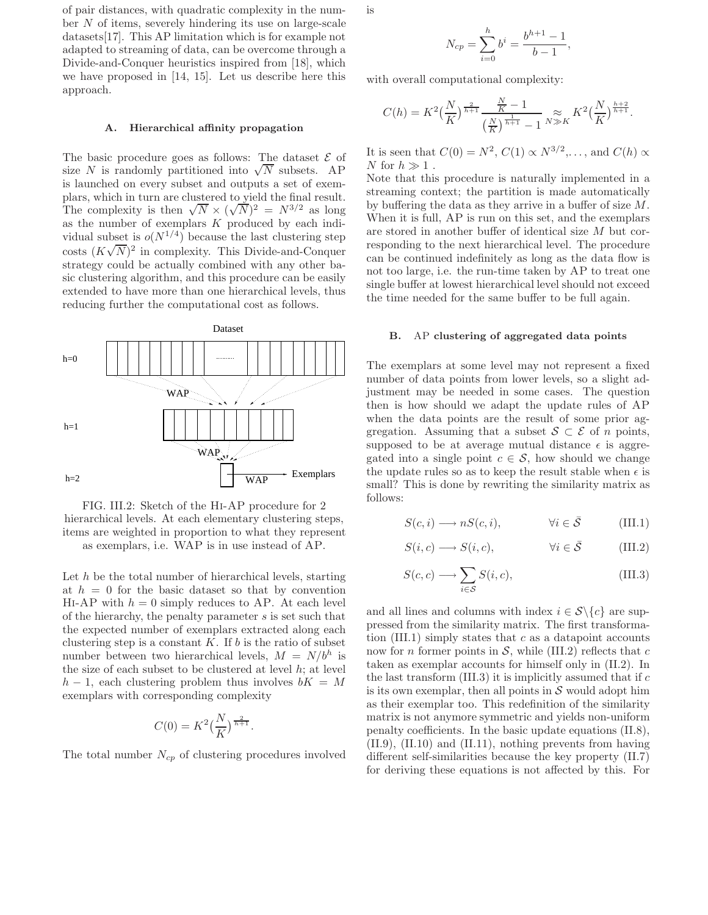of pair distances, with quadratic complexity in the number N of items, severely hindering its use on large-scale datasets[17]. This AP limitation which is for example not adapted to streaming of data, can be overcome through a Divide-and-Conquer heuristics inspired from [18], which we have proposed in [14, 15]. Let us describe here this approach.

#### A. Hierarchical affinity propagation

The basic procedure goes as follows: The dataset  $\mathcal E$  of size N is randomly partitioned into  $\sqrt{N}$  subsets. AP is launched on every subset and outputs a set of exemplars, which in turn are clustered to yield the final result. The complexity is then  $\sqrt{N} \times (\sqrt{N})^2 = N^{3/2}$  as long as the number of exemplars  $K$  produced by each individual subset is  $o(N^{1/4})$  because the last clustering step costs  $(K\sqrt{N})^2$  in complexity. This Divide-and-Conquer strategy could be actually combined with any other basic clustering algorithm, and this procedure can be easily extended to have more than one hierarchical levels, thus reducing further the computational cost as follows.





Let  $h$  be the total number of hierarchical levels, starting at  $h = 0$  for the basic dataset so that by convention HI-AP with  $h = 0$  simply reduces to AP. At each level of the hierarchy, the penalty parameter s is set such that the expected number of exemplars extracted along each clustering step is a constant  $K$ . If  $b$  is the ratio of subset number between two hierarchical levels,  $M = N/b^h$  is the size of each subset to be clustered at level  $h$ ; at level  $h-1$ , each clustering problem thus involves  $bK = M$ exemplars with corresponding complexity

$$
C(0) = K^2 \left(\frac{N}{K}\right)^{\frac{2}{h+1}}.
$$

The total number  $N_{cp}$  of clustering procedures involved

is

$$
N_{cp} = \sum_{i=0}^{h} b^{i} = \frac{b^{h+1} - 1}{b - 1},
$$

with overall computational complexity:

$$
C(h) = K^{2} \left(\frac{N}{K}\right)^{\frac{2}{h+1}} \frac{\frac{N}{K} - 1}{\left(\frac{N}{K}\right)^{\frac{1}{h+1}} - 1} \approx_{K} K^{2} \left(\frac{N}{K}\right)^{\frac{h+2}{h+1}}.
$$

It is seen that  $C(0) = N^2$ ,  $C(1) \propto N^{3/2}$ ,..., and  $C(h) \propto$ N for  $h \gg 1$ .

Note that this procedure is naturally implemented in a streaming context; the partition is made automatically by buffering the data as they arrive in a buffer of size M. When it is full, AP is run on this set, and the exemplars are stored in another buffer of identical size M but corresponding to the next hierarchical level. The procedure can be continued indefinitely as long as the data flow is not too large, i.e. the run-time taken by AP to treat one single buffer at lowest hierarchical level should not exceed the time needed for the same buffer to be full again.

### B. AP clustering of aggregated data points

The exemplars at some level may not represent a fixed number of data points from lower levels, so a slight adjustment may be needed in some cases. The question then is how should we adapt the update rules of AP when the data points are the result of some prior aggregation. Assuming that a subset  $S \subset \mathcal{E}$  of *n* points, supposed to be at average mutual distance  $\epsilon$  is aggregated into a single point  $c \in \mathcal{S}$ , how should we change the update rules so as to keep the result stable when  $\epsilon$  is small? This is done by rewriting the similarity matrix as follows:

$$
S(c, i) \longrightarrow nS(c, i), \qquad \forall i \in \overline{S} \qquad (\text{III.1})
$$

$$
S(i, c) \longrightarrow S(i, c), \qquad \forall i \in \bar{S} \qquad (\text{III.2})
$$

$$
S(c, c) \longrightarrow \sum_{i \in S} S(i, c), \tag{III.3}
$$

and all lines and columns with index  $i \in S \setminus \{c\}$  are suppressed from the similarity matrix. The first transformation  $(III.1)$  simply states that c as a datapoint accounts now for *n* former points in  $S$ , while (III.2) reflects that c taken as exemplar accounts for himself only in (II.2). In the last transform  $(III.3)$  it is implicitly assumed that if  $c$ is its own exemplar, then all points in  $S$  would adopt him as their exemplar too. This redefinition of the similarity matrix is not anymore symmetric and yields non-uniform penalty coefficients. In the basic update equations (II.8), (II.9), (II.10) and (II.11), nothing prevents from having different self-similarities because the key property (II.7) for deriving these equations is not affected by this. For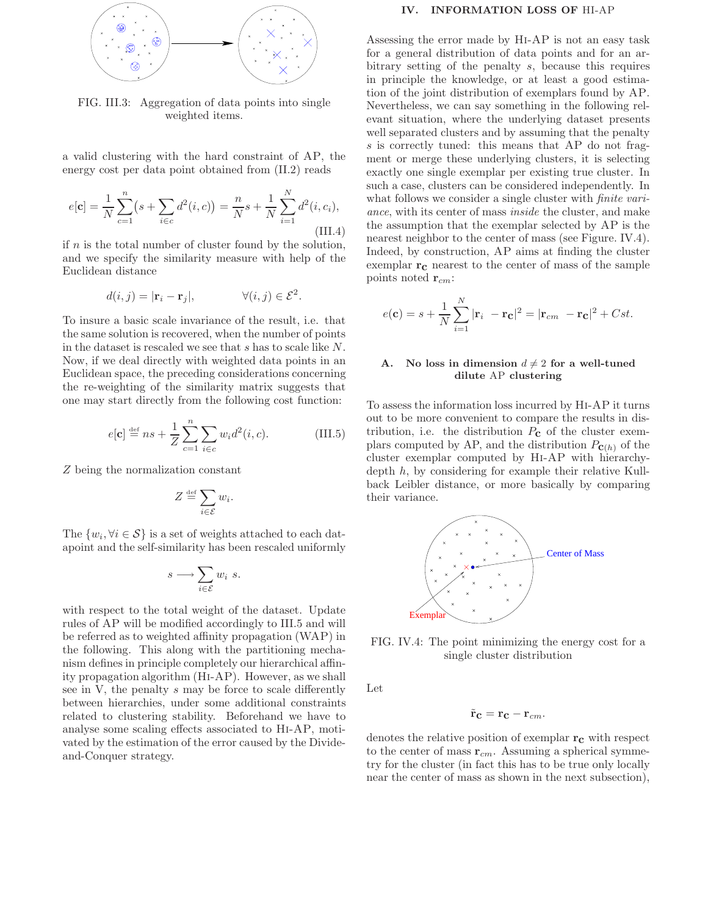

FIG. III.3: Aggregation of data points into single weighted items.

a valid clustering with the hard constraint of AP, the energy cost per data point obtained from (II.2) reads

$$
e[\mathbf{c}] = \frac{1}{N} \sum_{c=1}^{n} (s + \sum_{i \in c} d^{2}(i, c)) = \frac{n}{N} s + \frac{1}{N} \sum_{i=1}^{N} d^{2}(i, c_{i}),
$$
\n(III.4)

if  $n$  is the total number of cluster found by the solution, and we specify the similarity measure with help of the Euclidean distance

$$
d(i,j) = |\mathbf{r}_i - \mathbf{r}_j|, \qquad \forall (i,j) \in \mathcal{E}^2.
$$

To insure a basic scale invariance of the result, i.e. that the same solution is recovered, when the number of points in the dataset is rescaled we see that s has to scale like N. Now, if we deal directly with weighted data points in an Euclidean space, the preceding considerations concerning the re-weighting of the similarity matrix suggests that one may start directly from the following cost function:

$$
e[c] \stackrel{\text{def}}{=} ns + \frac{1}{Z} \sum_{c=1}^{n} \sum_{i \in c} w_i d^2(i, c).
$$
 (III.5)

Z being the normalization constant

$$
Z \stackrel{\text{def}}{=} \sum_{i \in \mathcal{E}} w_i.
$$

The  $\{w_i, \forall i \in \mathcal{S}\}\)$  is a set of weights attached to each datapoint and the self-similarity has been rescaled uniformly

$$
s \longrightarrow \sum_{i \in \mathcal{E}} w_i \ s.
$$

with respect to the total weight of the dataset. Update rules of AP will be modified accordingly to III.5 and will be referred as to weighted affinity propagation (WAP) in the following. This along with the partitioning mechanism defines in principle completely our hierarchical affinity propagation algorithm (Hi-AP). However, as we shall see in V, the penalty s may be force to scale differently between hierarchies, under some additional constraints related to clustering stability. Beforehand we have to analyse some scaling effects associated to Hi-AP, motivated by the estimation of the error caused by the Divideand-Conquer strategy.

#### IV. INFORMATION LOSS OF HI-AP

Assessing the error made by Hi-AP is not an easy task for a general distribution of data points and for an arbitrary setting of the penalty s, because this requires in principle the knowledge, or at least a good estimation of the joint distribution of exemplars found by AP. Nevertheless, we can say something in the following relevant situation, where the underlying dataset presents well separated clusters and by assuming that the penalty s is correctly tuned: this means that AP do not fragment or merge these underlying clusters, it is selecting exactly one single exemplar per existing true cluster. In such a case, clusters can be considered independently. In what follows we consider a single cluster with *finite vari*ance, with its center of mass inside the cluster, and make the assumption that the exemplar selected by AP is the nearest neighbor to the center of mass (see Figure. IV.4). Indeed, by construction, AP aims at finding the cluster exemplar  $r_c$  nearest to the center of mass of the sample points noted  $\mathbf{r}_{cm}$ :

$$
e(\mathbf{c}) = s + \frac{1}{N} \sum_{i=1}^{N} |\mathbf{r}_i - \mathbf{r}_\mathbf{C}|^2 = |\mathbf{r}_{cm} - \mathbf{r}_\mathbf{C}|^2 + Cst.
$$

## No loss in dimension  $d \neq 2$  for a well-tuned dilute AP clustering

To assess the information loss incurred by Hi-AP it turns out to be more convenient to compare the results in distribution, i.e. the distribution  $P_{\mathbf{C}}$  of the cluster exemplars computed by AP, and the distribution  $P_{\mathbf{C}(h)}$  of the cluster exemplar computed by Hi-AP with hierarchydepth h, by considering for example their relative Kullback Leibler distance, or more basically by comparing their variance.



FIG. IV.4: The point minimizing the energy cost for a single cluster distribution

Let

$$
\tilde{\mathbf{r}}_{\mathbf{C}}=\mathbf{r}_{\mathbf{C}}-\mathbf{r}_{cm}.
$$

denotes the relative position of exemplar  $r_c$  with respect to the center of mass  $\mathbf{r}_{cm}$ . Assuming a spherical symmetry for the cluster (in fact this has to be true only locally near the center of mass as shown in the next subsection),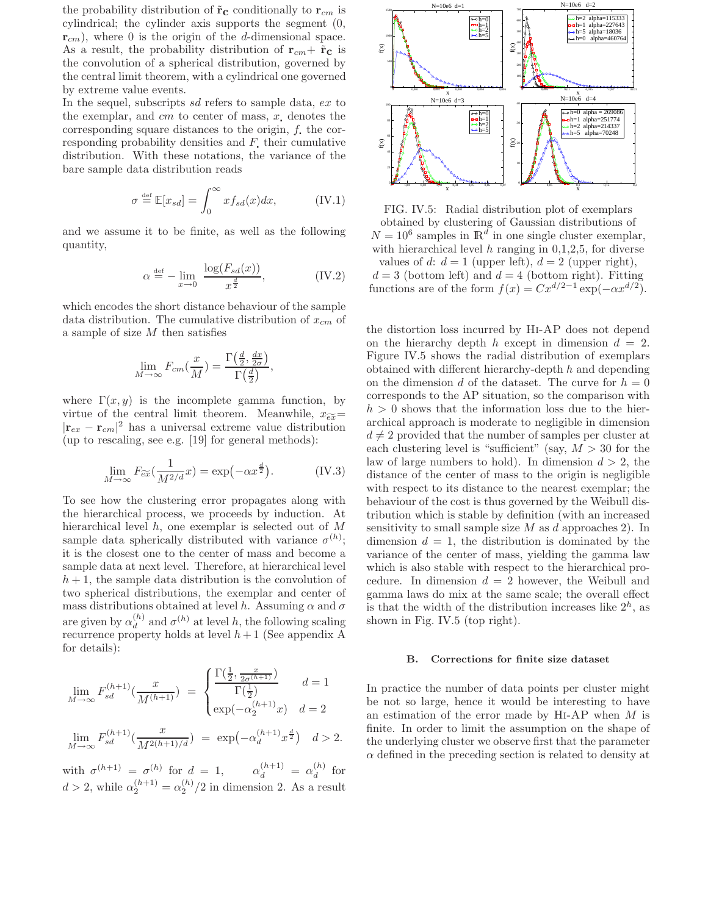the probability distribution of  $\tilde{\mathbf{r}}_{\mathbf{c}}$  conditionally to  $\mathbf{r}_{cm}$  is cylindrical; the cylinder axis supports the segment (0,  $r_{cm}$ ), where 0 is the origin of the d-dimensional space. As a result, the probability distribution of  $\mathbf{r}_{cm} + \tilde{\mathbf{r}}_c$  is the convolution of a spherical distribution, governed by the central limit theorem, with a cylindrical one governed by extreme value events.

In the sequel, subscripts sd refers to sample data, ex to the exemplar, and  $cm$  to center of mass,  $x$ , denotes the corresponding square distances to the origin,  $f$ , the corresponding probability densities and  $F$ , their cumulative distribution. With these notations, the variance of the bare sample data distribution reads

$$
\sigma \stackrel{\text{def}}{=} \mathbb{E}[x_{sd}] = \int_0^\infty x f_{sd}(x) dx, \tag{IV.1}
$$

and we assume it to be finite, as well as the following quantity,

$$
\alpha \stackrel{\text{def}}{=} -\lim_{x \to 0} \frac{\log(F_{sd}(x))}{x^{\frac{d}{2}}},\tag{IV.2}
$$

which encodes the short distance behaviour of the sample data distribution. The cumulative distribution of  $x_{cm}$  of a sample of size M then satisfies

$$
\lim_{M \to \infty} F_{cm}(\frac{x}{M}) = \frac{\Gamma(\frac{d}{2}, \frac{dx}{2\sigma})}{\Gamma(\frac{d}{2})},
$$

where  $\Gamma(x, y)$  is the incomplete gamma function, by virtue of the central limit theorem. Meanwhile,  $x_{\widetilde{ex}}=$  $|\mathbf{r}_{ex} - \mathbf{r}_{cm}|^2$  has a universal extreme value distribution (up to rescaling, see e.g. [19] for general methods):

$$
\lim_{M \to \infty} F_{\widetilde{ex}}\left(\frac{1}{M^{2/d}}x\right) = \exp\left(-\alpha x^{\frac{d}{2}}\right). \tag{IV.3}
$$

To see how the clustering error propagates along with the hierarchical process, we proceeds by induction. At hierarchical level h, one exemplar is selected out of M sample data spherically distributed with variance  $\sigma^{(h)}$ ; it is the closest one to the center of mass and become a sample data at next level. Therefore, at hierarchical level  $h + 1$ , the sample data distribution is the convolution of two spherical distributions, the exemplar and center of mass distributions obtained at level h. Assuming  $\alpha$  and  $\sigma$ are given by  $\alpha_d^{(h)}$  $\sigma_d^{(h)}$  and  $\sigma^{(h)}$  at level h, the following scaling recurrence property holds at level  $h+1$  (See appendix A for details):

$$
\lim_{M \to \infty} F_{sd}^{(h+1)}(\frac{x}{M^{(h+1)}}) = \begin{cases} \frac{\Gamma(\frac{1}{2}, \frac{x}{2\sigma^{(h+1)}})}{\Gamma(\frac{1}{2})} & d = 1\\ \exp(-\alpha_2^{(h+1)}x) & d = 2 \end{cases}
$$
  

$$
\lim_{M \to \infty} F_{sd}^{(h+1)}(\frac{x}{M^{2(h+1)/d}}) = \exp(-\alpha_d^{(h+1)}x^{\frac{d}{2}}) \quad d > 2.
$$

with  $\sigma^{(h+1)} = \sigma^{(h)}$  for  $d = 1$ ,  $\alpha_d^{(h+1)} = \alpha_d^{(h)}$  $\int_{d}^{(h)}$  for  $d > 2$ , while  $\alpha_2^{(h+1)} = \alpha_2^{(h)}/2$  in dimension 2. As a result



FIG. IV.5: Radial distribution plot of exemplars obtained by clustering of Gaussian distributions of  $N = 10^6$  samples in  $\mathbb{R}^d$  in one single cluster exemplar, with hierarchical level  $h$  ranging in 0,1,2,5, for diverse values of d:  $d = 1$  (upper left),  $d = 2$  (upper right),  $d = 3$  (bottom left) and  $d = 4$  (bottom right). Fitting functions are of the form  $f(x) = Cx^{d/2-1} \exp(-\alpha x^{d/2})$ .

the distortion loss incurred by Hi-AP does not depend on the hierarchy depth h except in dimension  $d = 2$ . Figure IV.5 shows the radial distribution of exemplars obtained with different hierarchy-depth  $h$  and depending on the dimension d of the dataset. The curve for  $h = 0$ corresponds to the AP situation, so the comparison with  $h > 0$  shows that the information loss due to the hierarchical approach is moderate to negligible in dimension  $d \neq 2$  provided that the number of samples per cluster at each clustering level is "sufficient" (say,  $M > 30$  for the law of large numbers to hold). In dimension  $d > 2$ , the distance of the center of mass to the origin is negligible with respect to its distance to the nearest exemplar; the behaviour of the cost is thus governed by the Weibull distribution which is stable by definition (with an increased sensitivity to small sample size  $M$  as  $d$  approaches 2). In dimension  $d = 1$ , the distribution is dominated by the variance of the center of mass, yielding the gamma law which is also stable with respect to the hierarchical procedure. In dimension  $d = 2$  however, the Weibull and gamma laws do mix at the same scale; the overall effect is that the width of the distribution increases like  $2<sup>h</sup>$ , as shown in Fig. IV.5 (top right).

# B. Corrections for finite size dataset

In practice the number of data points per cluster might be not so large, hence it would be interesting to have an estimation of the error made by  $HI-AP$  when  $M$  is finite. In order to limit the assumption on the shape of the underlying cluster we observe first that the parameter  $\alpha$  defined in the preceding section is related to density at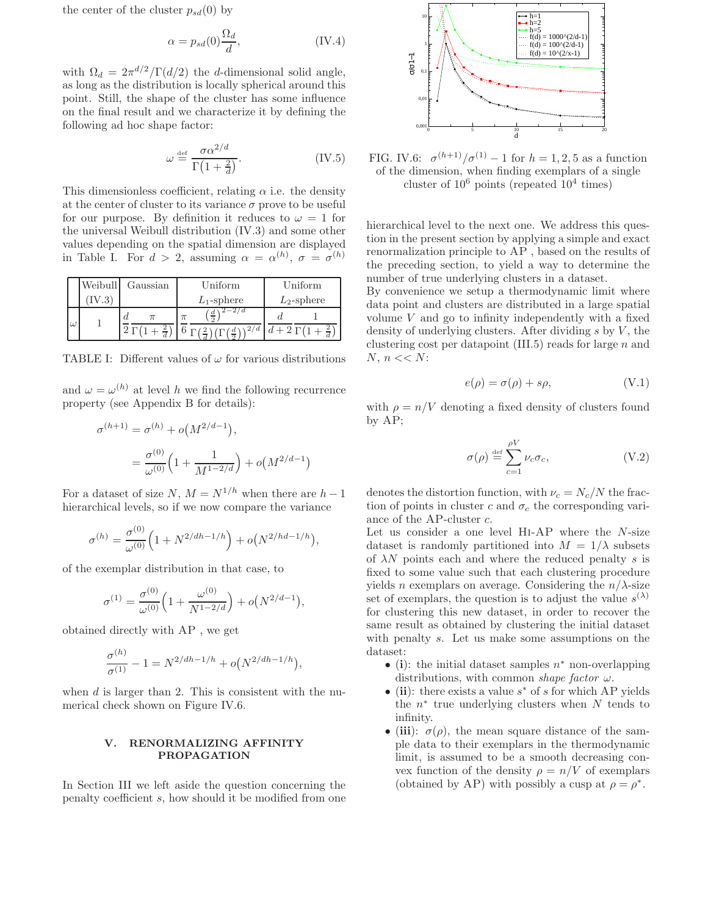the center of the cluster  $p_{sd}(0)$  by

$$
\alpha = p_{sd}(0) \frac{\Omega_d}{d},\tag{IV.4}
$$

with  $\Omega_d = 2\pi^{d/2}/\Gamma(d/2)$  the d-dimensional solid angle, as long as the distribution is locally spherical around this point. Still, the shape of the cluster has some influence on the final result and we characterize it by defining the following ad hoc shape factor:

$$
\omega \stackrel{\text{def}}{=} \frac{\sigma \alpha^{2/d}}{\Gamma(1 + \frac{2}{d})}.\tag{IV.5}
$$

This dimensionless coefficient, relating  $\alpha$  i.e. the density at the center of cluster to its variance  $\sigma$  prove to be useful for our purpose. By definition it reduces to  $\omega = 1$  for the universal Weibull distribution (IV.3) and some other values depending on the spatial dimension are displayed in Table I. For  $d > 2$ , assuming  $\alpha = \alpha^{(h)}$ ,  $\sigma = \sigma^{(h)}$ 

|    | Weibull | Gaussian | Uniform               | Uniform        |
|----|---------|----------|-----------------------|----------------|
|    |         |          | $L_1$ -sphere         | $L_2$ -sphere  |
| ιω |         | d        | $\frac{d}{2}$         |                |
|    |         |          | 2/d<br>$\overline{a}$ | $d+2\Gamma(1)$ |

TABLE I: Different values of  $\omega$  for various distributions

and  $\omega = \omega^{(h)}$  at level h we find the following recurrence property (see Appendix B for details):

$$
\sigma^{(h+1)} = \sigma^{(h)} + o(M^{2/d-1}),
$$
  
= 
$$
\frac{\sigma^{(0)}}{\omega^{(0)}} \left( 1 + \frac{1}{M^{1-2/d}} \right) + o(M^{2/d-1})
$$

 $\left( \right)$ 

For a dataset of size N,  $M = N^{1/h}$  when there are  $h-1$ hierarchical levels, so if we now compare the variance

$$
\sigma^{(h)} = \frac{\sigma^{(0)}}{\omega^{(0)}} \Big( 1 + N^{2/dh - 1/h} \Big) + o(N^{2/hd - 1/h}),
$$

of the exemplar distribution in that case, to

$$
\sigma^{(1)} = \frac{\sigma^{(0)}}{\omega^{(0)}} \Big( 1 + \frac{\omega^{(0)}}{N^{1-2/d}} \Big) + o(N^{2/d-1}),
$$

obtained directly with AP , we get

$$
\frac{\sigma^{(h)}}{\sigma^{(1)}} - 1 = N^{2/dh - 1/h} + o(N^{2/dh - 1/h}),
$$

when  $d$  is larger than 2. This is consistent with the numerical check shown on Figure IV.6.

# V. RENORMALIZING AFFINITY PROPAGATION

In Section III we left aside the question concerning the penalty coefficient s, how should it be modified from one



FIG. IV.6:  $\sigma^{(h+1)}/\sigma^{(1)} - 1$  for  $h = 1, 2, 5$  as a function of the dimension, when finding exemplars of a single cluster of  $10^6$  points (repeated  $10^4$  times)

hierarchical level to the next one. We address this question in the present section by applying a simple and exact renormalization principle to AP , based on the results of the preceding section, to yield a way to determine the number of true underlying clusters in a dataset.

By convenience we setup a thermodynamic limit where data point and clusters are distributed in a large spatial volume V and go to infinity independently with a fixed density of underlying clusters. After dividing  $s$  by  $V$ , the clustering cost per datapoint  $(III.5)$  reads for large n and N,  $n \ll N$ :

$$
e(\rho) = \sigma(\rho) + s\rho, \tag{V.1}
$$

with  $\rho = n/V$  denoting a fixed density of clusters found by AP;

$$
\sigma(\rho) \stackrel{\text{def}}{=} \sum_{c=1}^{\rho V} \nu_c \sigma_c, \qquad (V.2)
$$

denotes the distortion function, with  $\nu_c = N_c/N$  the fraction of points in cluster c and  $\sigma_c$  the corresponding variance of the AP-cluster c.

Let us consider a one level Hi-AP where the N-size dataset is randomly partitioned into  $M = 1/\lambda$  subsets of  $\lambda N$  points each and where the reduced penalty s is fixed to some value such that each clustering procedure yields *n* exemplars on average. Considering the  $n/\lambda$ -size set of exemplars, the question is to adjust the value  $s^{(\lambda)}$ for clustering this new dataset, in order to recover the same result as obtained by clustering the initial dataset with penalty s. Let us make some assumptions on the dataset:

- (i): the initial dataset samples  $n^*$  non-overlapping distributions, with common shape factor  $\omega$ .
- (ii): there exists a value  $s^*$  of s for which AP yields the  $n^*$  true underlying clusters when  $N$  tends to infinity.
- (iii):  $\sigma(\rho)$ , the mean square distance of the sample data to their exemplars in the thermodynamic limit, is assumed to be a smooth decreasing convex function of the density  $\rho = n/V$  of exemplars (obtained by AP) with possibly a cusp at  $\rho = \rho^*$ .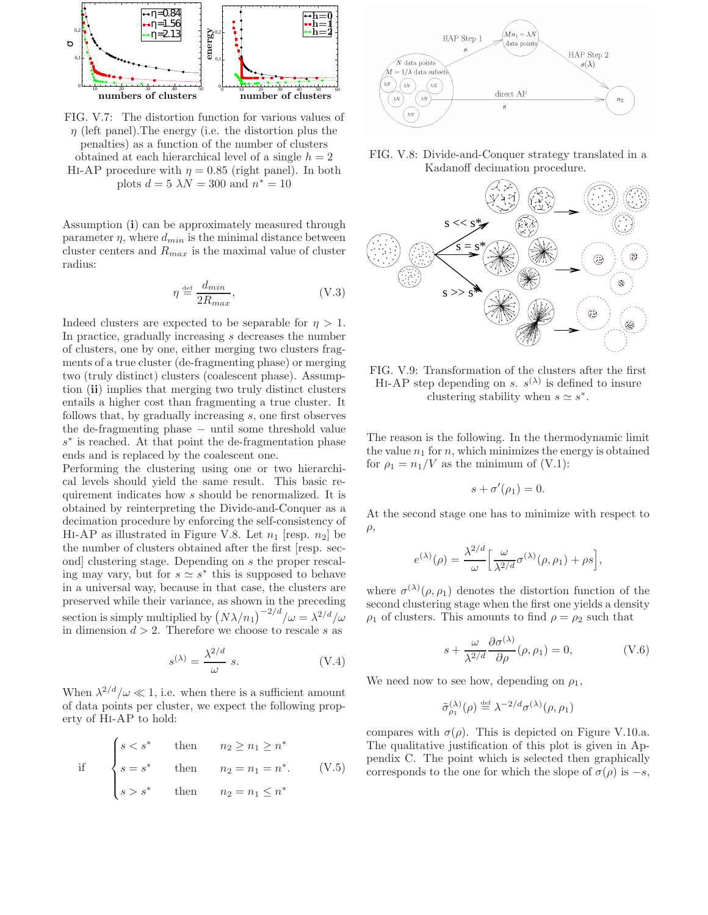

FIG. V.7: The distortion function for various values of  $\eta$  (left panel). The energy (i.e. the distortion plus the penalties) as a function of the number of clusters obtained at each hierarchical level of a single  $h = 2$ HI-AP procedure with  $\eta = 0.85$  (right panel). In both plots  $d = 5 \lambda N = 300$  and  $n^* = 10$ 

Assumption (i) can be approximately measured through parameter  $\eta$ , where  $d_{min}$  is the minimal distance between cluster centers and  $R_{max}$  is the maximal value of cluster radius:

$$
\eta \stackrel{\text{def}}{=} \frac{d_{min}}{2R_{max}},\tag{V.3}
$$

Indeed clusters are expected to be separable for  $\eta > 1$ . In practice, gradually increasing s decreases the number of clusters, one by one, either merging two clusters fragments of a true cluster (de-fragmenting phase) or merging two (truly distinct) clusters (coalescent phase). Assumption (ii) implies that merging two truly distinct clusters entails a higher cost than fragmenting a true cluster. It follows that, by gradually increasing s, one first observes the de-fragmenting phase − until some threshold value s ∗ is reached. At that point the de-fragmentation phase ends and is replaced by the coalescent one.

Performing the clustering using one or two hierarchical levels should yield the same result. This basic requirement indicates how s should be renormalized. It is obtained by reinterpreting the Divide-and-Conquer as a decimation procedure by enforcing the self-consistency of HI-AP as illustrated in Figure V.8. Let  $n_1$  [resp.  $n_2$ ] be the number of clusters obtained after the first [resp. second] clustering stage. Depending on s the proper rescaling may vary, but for  $s \simeq s^*$  this is supposed to behave in a universal way, because in that case, the clusters are preserved while their variance, as shown in the preceding section is simply multiplied by  $(N\lambda/n_1)^{-2/d}/\omega = \lambda^{2/d}/\omega$ in dimension  $d > 2$ . Therefore we choose to rescale s as

$$
s^{(\lambda)} = \frac{\lambda^{2/d}}{\omega} \ s.
$$
 (V.4)

When  $\lambda^{2/d}/\omega \ll 1$ , i.e. when there is a sufficient amount of data points per cluster, we expect the following property of Hi-AP to hold:

if 
$$
\begin{cases} s < s^* \text{ then } n_2 \ge n_1 \ge n^* \\ s = s^* \text{ then } n_2 = n_1 = n^*. \text{ (V.5)} \\ s > s^* \text{ then } n_2 = n_1 \le n^* \end{cases}
$$



FIG. V.8: Divide-and-Conquer strategy translated in a Kadanoff decimation procedure.



FIG. V.9: Transformation of the clusters after the first HI-AP step depending on s.  $s^{(\lambda)}$  is defined to insure clustering stability when  $s \simeq s^*$ .

The reason is the following. In the thermodynamic limit the value  $n_1$  for n, which minimizes the energy is obtained for  $\rho_1 = n_1/V$  as the minimum of (V.1):

$$
s + \sigma'(\rho_1) = 0.
$$

At the second stage one has to minimize with respect to  $\rho$ ,

$$
e^{(\lambda)}(\rho) = \frac{\lambda^{2/d}}{\omega} \left[ \frac{\omega}{\lambda^{2/d}} \sigma^{(\lambda)}(\rho, \rho_1) + \rho s \right],
$$

where  $\sigma^{(\lambda)}(\rho, \rho_1)$  denotes the distortion function of the second clustering stage when the first one yields a density  $\rho_1$  of clusters. This amounts to find  $\rho = \rho_2$  such that

$$
s + \frac{\omega}{\lambda^{2/d}} \frac{\partial \sigma^{(\lambda)}}{\partial \rho} (\rho, \rho_1) = 0, \qquad (V.6)
$$

We need now to see how, depending on  $\rho_1$ ,

$$
\tilde{\sigma}_{\rho_1}^{(\lambda)}(\rho) \stackrel{\text{def}}{=} \lambda^{-2/d} \sigma^{(\lambda)}(\rho, \rho_1)
$$

compares with  $\sigma(\rho)$ . This is depicted on Figure V.10.a. The qualitative justification of this plot is given in Appendix C. The point which is selected then graphically corresponds to the one for which the slope of  $\sigma(\rho)$  is  $-s$ ,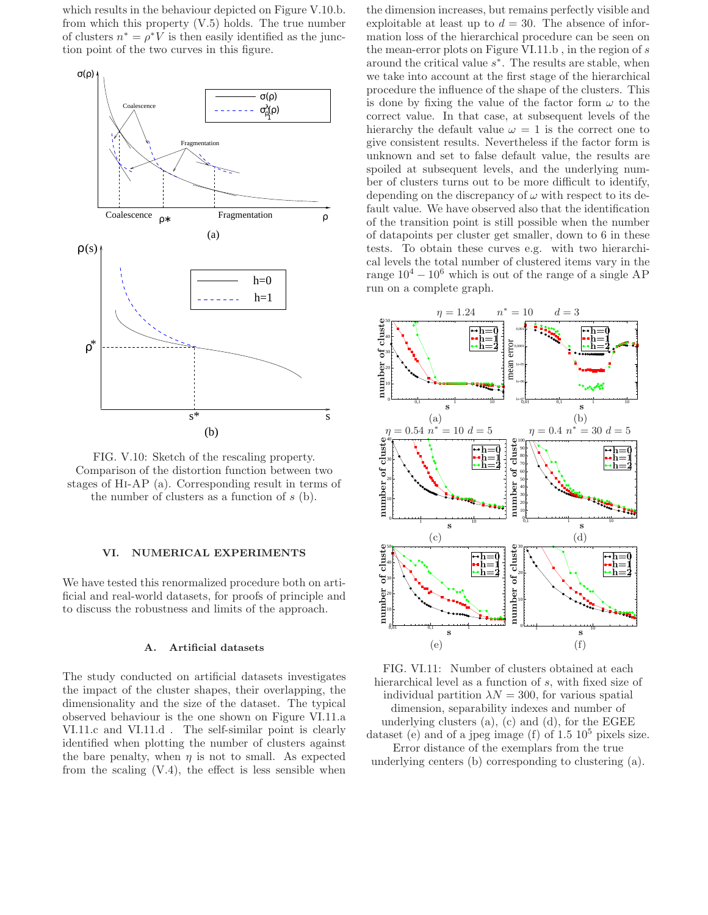which results in the behaviour depicted on Figure V.10.b. from which this property (V.5) holds. The true number of clusters  $n^* = \rho^* V$  is then easily identified as the junction point of the two curves in this figure.



FIG. V.10: Sketch of the rescaling property. Comparison of the distortion function between two stages of Hi-AP (a). Corresponding result in terms of the number of clusters as a function of  $s$  (b).

### VI. NUMERICAL EXPERIMENTS

We have tested this renormalized procedure both on artificial and real-world datasets, for proofs of principle and to discuss the robustness and limits of the approach.

### A. Artificial datasets

The study conducted on artificial datasets investigates the impact of the cluster shapes, their overlapping, the dimensionality and the size of the dataset. The typical observed behaviour is the one shown on Figure VI.11.a VI.11.c and VI.11.d . The self-similar point is clearly identified when plotting the number of clusters against the bare penalty, when  $\eta$  is not to small. As expected from the scaling  $(V.4)$ , the effect is less sensible when

the dimension increases, but remains perfectly visible and exploitable at least up to  $d = 30$ . The absence of information loss of the hierarchical procedure can be seen on the mean-error plots on Figure VI.11.b , in the region of s around the critical value  $s^*$ . The results are stable, when we take into account at the first stage of the hierarchical procedure the influence of the shape of the clusters. This is done by fixing the value of the factor form  $\omega$  to the correct value. In that case, at subsequent levels of the hierarchy the default value  $\omega = 1$  is the correct one to give consistent results. Nevertheless if the factor form is unknown and set to false default value, the results are spoiled at subsequent levels, and the underlying number of clusters turns out to be more difficult to identify, depending on the discrepancy of  $\omega$  with respect to its default value. We have observed also that the identification of the transition point is still possible when the number of datapoints per cluster get smaller, down to 6 in these tests. To obtain these curves e.g. with two hierarchical levels the total number of clustered items vary in the range  $10^4 - 10^6$  which is out of the range of a single AP run on a complete graph.



FIG. VI.11: Number of clusters obtained at each hierarchical level as a function of s, with fixed size of individual partition  $\lambda N = 300$ , for various spatial dimension, separability indexes and number of underlying clusters (a), (c) and (d), for the EGEE dataset (e) and of a jpeg image (f) of  $1.5 \times 10^5$  pixels size. Error distance of the exemplars from the true underlying centers (b) corresponding to clustering (a).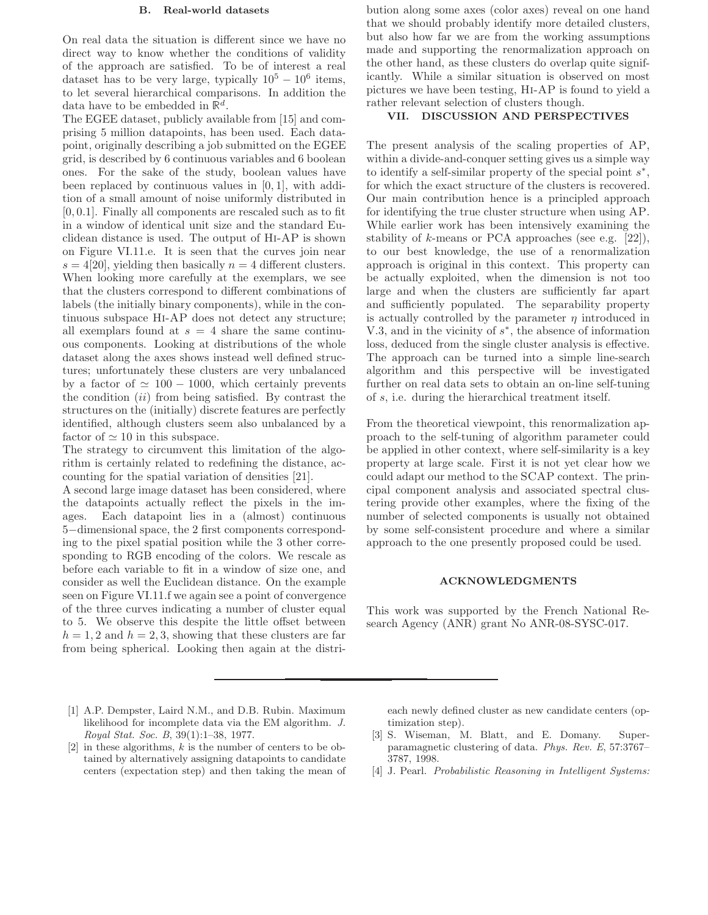# B. Real-world datasets

On real data the situation is different since we have no direct way to know whether the conditions of validity of the approach are satisfied. To be of interest a real dataset has to be very large, typically  $10^5 - 10^6$  items, to let several hierarchical comparisons. In addition the data have to be embedded in  $\mathbb{R}^d$ .

The EGEE dataset, publicly available from [15] and comprising 5 million datapoints, has been used. Each datapoint, originally describing a job submitted on the EGEE grid, is described by 6 continuous variables and 6 boolean ones. For the sake of the study, boolean values have been replaced by continuous values in [0, 1], with addition of a small amount of noise uniformly distributed in  $[0, 0.1]$ . Finally all components are rescaled such as to fit in a window of identical unit size and the standard Euclidean distance is used. The output of Hi-AP is shown on Figure VI.11.e. It is seen that the curves join near  $s = 4[20]$ , yielding then basically  $n = 4$  different clusters. When looking more carefully at the exemplars, we see that the clusters correspond to different combinations of labels (the initially binary components), while in the continuous subspace Hi-AP does not detect any structure; all exemplars found at  $s = 4$  share the same continuous components. Looking at distributions of the whole dataset along the axes shows instead well defined structures; unfortunately these clusters are very unbalanced by a factor of  $\simeq 100 - 1000$ , which certainly prevents the condition  $(ii)$  from being satisfied. By contrast the structures on the (initially) discrete features are perfectly identified, although clusters seem also unbalanced by a factor of  $\simeq$  10 in this subspace.

The strategy to circumvent this limitation of the algorithm is certainly related to redefining the distance, accounting for the spatial variation of densities [21].

A second large image dataset has been considered, where the datapoints actually reflect the pixels in the images. Each datapoint lies in a (almost) continuous 5−dimensional space, the 2 first components corresponding to the pixel spatial position while the 3 other corresponding to RGB encoding of the colors. We rescale as before each variable to fit in a window of size one, and consider as well the Euclidean distance. On the example seen on Figure VI.11.f we again see a point of convergence of the three curves indicating a number of cluster equal to 5. We observe this despite the little offset between  $h = 1, 2$  and  $h = 2, 3$ , showing that these clusters are far from being spherical. Looking then again at the distri-

bution along some axes (color axes) reveal on one hand that we should probably identify more detailed clusters, but also how far we are from the working assumptions made and supporting the renormalization approach on the other hand, as these clusters do overlap quite significantly. While a similar situation is observed on most pictures we have been testing, Hi-AP is found to yield a rather relevant selection of clusters though.

#### VII. DISCUSSION AND PERSPECTIVES

The present analysis of the scaling properties of AP, within a divide-and-conquer setting gives us a simple way to identify a self-similar property of the special point  $s^*$ , for which the exact structure of the clusters is recovered. Our main contribution hence is a principled approach for identifying the true cluster structure when using AP. While earlier work has been intensively examining the stability of  $k$ -means or PCA approaches (see e.g. [22]), to our best knowledge, the use of a renormalization approach is original in this context. This property can be actually exploited, when the dimension is not too large and when the clusters are sufficiently far apart and sufficiently populated. The separability property is actually controlled by the parameter  $\eta$  introduced in V.3, and in the vicinity of  $s^*$ , the absence of information loss, deduced from the single cluster analysis is effective. The approach can be turned into a simple line-search algorithm and this perspective will be investigated further on real data sets to obtain an on-line self-tuning of s, i.e. during the hierarchical treatment itself.

From the theoretical viewpoint, this renormalization approach to the self-tuning of algorithm parameter could be applied in other context, where self-similarity is a key property at large scale. First it is not yet clear how we could adapt our method to the SCAP context. The principal component analysis and associated spectral clustering provide other examples, where the fixing of the number of selected components is usually not obtained by some self-consistent procedure and where a similar approach to the one presently proposed could be used.

#### ACKNOWLEDGMENTS

This work was supported by the French National Research Agency (ANR) grant No ANR-08-SYSC-017.

- [1] A.P. Dempster, Laird N.M., and D.B. Rubin. Maximum likelihood for incomplete data via the EM algorithm. J. Royal Stat. Soc. B, 39(1):1–38, 1977.
- [2] in these algorithms,  $k$  is the number of centers to be obtained by alternatively assigning datapoints to candidate centers (expectation step) and then taking the mean of

each newly defined cluster as new candidate centers (optimization step).

[4] J. Pearl. *Probabilistic Reasoning in Intelligent Systems:* 

<sup>[3]</sup> S. Wiseman, M. Blatt, and E. Domany. Superparamagnetic clustering of data. Phys. Rev. E, 57:3767– 3787, 1998.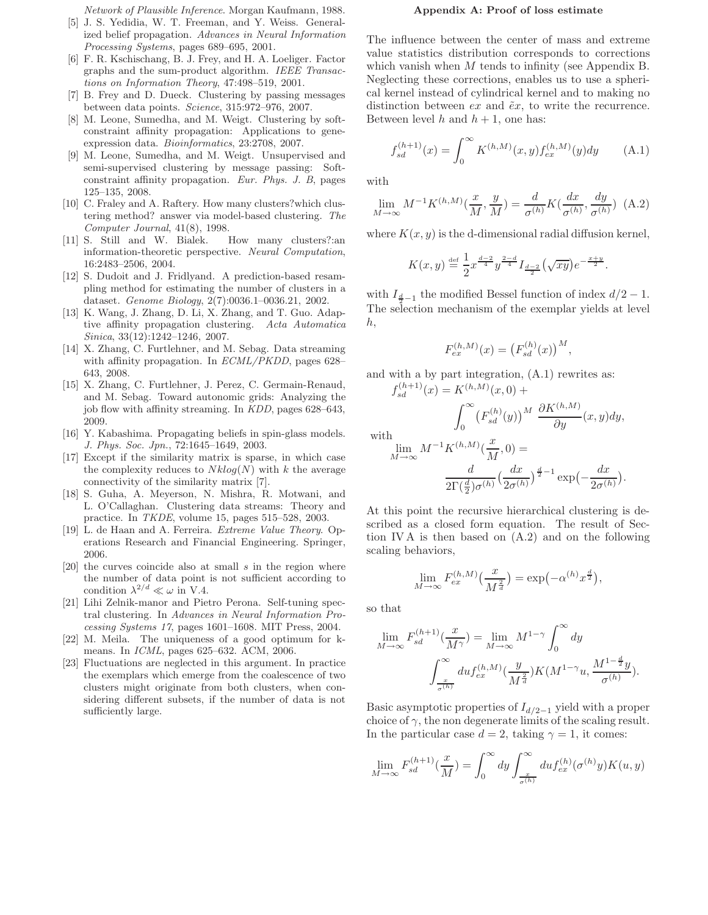Network of Plausible Inference. Morgan Kaufmann, 1988.

- [5] J. S. Yedidia, W. T. Freeman, and Y. Weiss. Generalized belief propagation. Advances in Neural Information Processing Systems, pages 689–695, 2001.
- [6] F. R. Kschischang, B. J. Frey, and H. A. Loeliger. Factor graphs and the sum-product algorithm. IEEE Transactions on Information Theory, 47:498–519, 2001.
- [7] B. Frey and D. Dueck. Clustering by passing messages between data points. Science, 315:972–976, 2007.
- [8] M. Leone, Sumedha, and M. Weigt. Clustering by softconstraint affinity propagation: Applications to geneexpression data. Bioinformatics, 23:2708, 2007.
- [9] M. Leone, Sumedha, and M. Weigt. Unsupervised and semi-supervised clustering by message passing: Softconstraint affinity propagation. Eur. Phys. J. B, pages 125–135, 2008.
- [10] C. Fraley and A. Raftery. How many clusters?which clustering method? answer via model-based clustering. The Computer Journal, 41(8), 1998.
- [11] S. Still and W. Bialek. How many clusters?:an information-theoretic perspective. Neural Computation, 16:2483–2506, 2004.
- [12] S. Dudoit and J. Fridlyand. A prediction-based resampling method for estimating the number of clusters in a dataset. Genome Biology, 2(7):0036.1–0036.21, 2002.
- [13] K. Wang, J. Zhang, D. Li, X. Zhang, and T. Guo. Adaptive affinity propagation clustering. Acta Automatica Sinica, 33(12):1242–1246, 2007.
- [14] X. Zhang, C. Furtlehner, and M. Sebag. Data streaming with affinity propagation. In *ECML/PKDD*, pages 628– 643, 2008.
- [15] X. Zhang, C. Furtlehner, J. Perez, C. Germain-Renaud, and M. Sebag. Toward autonomic grids: Analyzing the job flow with affinity streaming. In KDD, pages 628–643, 2009.
- [16] Y. Kabashima. Propagating beliefs in spin-glass models. J. Phys. Soc. Jpn., 72:1645–1649, 2003.
- [17] Except if the similarity matrix is sparse, in which case the complexity reduces to  $Nklog(N)$  with k the average connectivity of the similarity matrix [7].
- [18] S. Guha, A. Meyerson, N. Mishra, R. Motwani, and L. O'Callaghan. Clustering data streams: Theory and practice. In TKDE, volume 15, pages 515–528, 2003.
- [19] L. de Haan and A. Ferreira. Extreme Value Theory. Operations Research and Financial Engineering. Springer, 2006.
- [20] the curves coincide also at small s in the region where the number of data point is not sufficient according to condition  $\lambda^{2/d} \ll \omega$  in V.4.
- [21] Lihi Zelnik-manor and Pietro Perona. Self-tuning spectral clustering. In Advances in Neural Information Processing Systems 17, pages 1601–1608. MIT Press, 2004.
- [22] M. Meila. The uniqueness of a good optimum for kmeans. In ICML, pages 625–632. ACM, 2006.
- [23] Fluctuations are neglected in this argument. In practice the exemplars which emerge from the coalescence of two clusters might originate from both clusters, when considering different subsets, if the number of data is not sufficiently large.

#### Appendix A: Proof of loss estimate

The influence between the center of mass and extreme value statistics distribution corresponds to corrections which vanish when  $M$  tends to infinity (see Appendix B. Neglecting these corrections, enables us to use a spherical kernel instead of cylindrical kernel and to making no distinction between  $ex$  and  $\tilde{e}x$ , to write the recurrence. Between level h and  $h + 1$ , one has:

$$
f_{sd}^{(h+1)}(x) = \int_0^\infty K^{(h,M)}(x,y) f_{ex}^{(h,M)}(y) dy \qquad (A.1)
$$

with

$$
\lim_{M \to \infty} M^{-1} K^{(h,M)}\left(\frac{x}{M}, \frac{y}{M}\right) = \frac{d}{\sigma^{(h)}} K\left(\frac{dx}{\sigma^{(h)}}, \frac{dy}{\sigma^{(h)}}\right) \tag{A.2}
$$

where  $K(x, y)$  is the d-dimensional radial diffusion kernel,

$$
K(x,y) \stackrel{\text{def}}{=} \frac{1}{2} x^{\frac{d-2}{4}} y^{\frac{2-d}{4}} I_{\frac{d-2}{2}} \left(\sqrt{xy}\right) e^{-\frac{x+y}{2}}.
$$

with  $I_{\frac{d}{2}-1}$  the modified Bessel function of index  $d/2-1$ . The selection mechanism of the exemplar yields at level h,

$$
F_{ex}^{(h,M)}(x) = (F_{sd}^{(h)}(x))^{M},
$$

and with a by part integration, (A.1) rewrites as:

$$
f_{sd}^{(h+1)}(x) = K^{(h,M)}(x,0) +
$$

$$
\int_0^\infty (F_{sd}^{(h)}(y))^M \frac{\partial K^{(h,M)}}{\partial y}(x,y) dy,
$$
ith
$$
\lim_{M \to \infty} M^{-1} K^{(h,M)}(\frac{x}{M},0) =
$$

$$
\frac{d}{2\Gamma(\frac{d}{2})\sigma^{(h)}} \left(\frac{dx}{2\sigma^{(h)}}\right)^{\frac{d}{2}-1} \exp\left(-\frac{dx}{2\sigma^{(h)}}\right).
$$

w

At this point the recursive hierarchical clustering is described as a closed form equation. The result of Section IV A is then based on (A.2) and on the following scaling behaviors,

$$
\lim_{M \to \infty} F_{ex}^{(h,M)}\left(\frac{x}{M^{\frac{2}{d}}}\right) = \exp(-\alpha^{(h)} x^{\frac{d}{2}}),
$$

so that

$$
\lim_{M \to \infty} F_{sd}^{(h+1)}(\frac{x}{M^{\gamma}}) = \lim_{M \to \infty} M^{1-\gamma} \int_0^{\infty} dy
$$

$$
\int_{\frac{x}{\sigma^{(h)}}}^{\infty} du f_{ex}^{(h,M)}(\frac{y}{M^{\frac{2}{d}}}) K(M^{1-\gamma}u, \frac{M^{1-\frac{d}{2}}y}{\sigma^{(h)}}).
$$

Basic asymptotic properties of  $I_{d/2-1}$  yield with a proper choice of  $\gamma$ , the non degenerate limits of the scaling result. In the particular case  $d = 2$ , taking  $\gamma = 1$ , it comes:

$$
\lim_{M \to \infty} F_{sd}^{(h+1)}(\frac{x}{M}) = \int_0^\infty dy \int_{\frac{x}{\sigma(h)}}^\infty du f_{ex}^{(h)}(\sigma^{(h)}y) K(u, y)
$$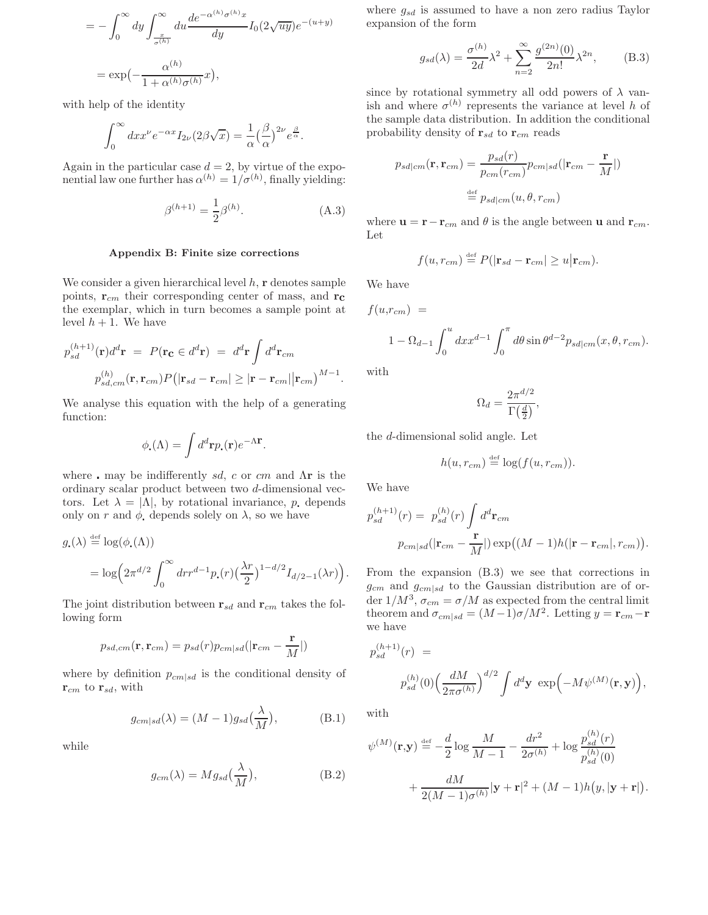$$
= -\int_0^\infty dy \int_{\frac{x}{\sigma^{(h)}}}^\infty du \frac{de^{-\alpha^{(h)}\sigma^{(h)}x}}{dy} I_0(2\sqrt{uy})e^{-(u+y)}
$$

$$
= \exp\left(-\frac{\alpha^{(h)}}{1+\alpha^{(h)}\sigma^{(h)}}x\right),
$$

with help of the identity

$$
\int_0^\infty dx x^\nu e^{-\alpha x} I_{2\nu}(2\beta\sqrt{x}) = \frac{1}{\alpha} \left(\frac{\beta}{\alpha}\right)^{2\nu} e^{\frac{\beta}{\alpha}}.
$$

Again in the particular case  $d = 2$ , by virtue of the exponential law one further has  $\alpha^{(h)} = 1/\sigma^{(h)}$ , finally yielding:

$$
\beta^{(h+1)} = \frac{1}{2}\beta^{(h)}.
$$
\n(A.3)

### Appendix B: Finite size corrections

We consider a given hierarchical level  $h$ ,  $\bf{r}$  denotes sample points,  $\mathbf{r}_{cm}$  their corresponding center of mass, and  $\mathbf{r}_{c}$ the exemplar, which in turn becomes a sample point at level  $h + 1$ . We have

$$
p_{sd}^{(h+1)}(\mathbf{r})d^d\mathbf{r} = P(\mathbf{r_c} \in d^d\mathbf{r}) = d^d\mathbf{r} \int d^d\mathbf{r}_{cm}
$$

$$
p_{sd,cm}^{(h)}(\mathbf{r}, \mathbf{r}_{cm})P(|\mathbf{r}_{sd} - \mathbf{r}_{cm}| \geq |\mathbf{r} - \mathbf{r}_{cm}| |\mathbf{r}_{cm})^{M-1}.
$$

We analyse this equation with the help of a generating function:

$$
\phi_{\mathbf{.}}(\Lambda) = \int d^d \mathbf{r} p_{\mathbf{.}}(\mathbf{r}) e^{-\Lambda \mathbf{r}}.
$$

where  $\blacksquare$  may be indifferently sd, c or cm and  $\Lambda r$  is the ordinary scalar product between two d-dimensional vectors. Let  $\lambda = |\Lambda|$ , by rotational invariance, p depends only on r and  $\phi$ , depends solely on  $\lambda$ , so we have

$$
g_{\star}(\lambda) \stackrel{\text{def}}{=} \log(\phi_{\star}(\Lambda))
$$
  
=  $\log \left(2\pi^{d/2} \int_0^{\infty} dr r^{d-1} p_{\star}(r) \left(\frac{\lambda r}{2}\right)^{1-d/2} I_{d/2-1}(\lambda r)\right).$ 

The joint distribution between  $\mathbf{r}_{sd}$  and  $\mathbf{r}_{cm}$  takes the following form

$$
p_{sd,cm}(\mathbf{r},\mathbf{r}_{cm})=p_{sd}(r)p_{cm|sd}(|\mathbf{r}_{cm}-\frac{\mathbf{r}}{M}|)
$$

where by definition  $p_{cm|sd}$  is the conditional density of  $\mathbf{r}_{cm}$  to  $\mathbf{r}_{sd}$ , with

$$
g_{cm|sd}(\lambda) = (M-1)g_{sd}(\frac{\lambda}{M}), \qquad (B.1)
$$

while

$$
g_{cm}(\lambda) = Mg_{sd}(\frac{\lambda}{M}), \qquad (B.2)
$$

where  $g_{sd}$  is assumed to have a non zero radius Taylor expansion of the form

$$
g_{sd}(\lambda) = \frac{\sigma^{(h)}}{2d} \lambda^2 + \sum_{n=2}^{\infty} \frac{g^{(2n)}(0)}{2n!} \lambda^{2n},
$$
 (B.3)

since by rotational symmetry all odd powers of  $\lambda$  vanish and where  $\sigma^{(h)}$  represents the variance at level h of the sample data distribution. In addition the conditional probability density of  $\mathbf{r}_{sd}$  to  $\mathbf{r}_{cm}$  reads

$$
p_{sd|cm}(\mathbf{r}, \mathbf{r}_{cm}) = \frac{p_{sd}(r)}{p_{cm}(r_{cm})} p_{cm|sd}(|\mathbf{r}_{cm} - \frac{\mathbf{r}}{M}|)
$$

$$
\stackrel{\text{def}}{=} p_{sd|cm}(u, \theta, r_{cm})
$$

where  $\mathbf{u} = \mathbf{r} - \mathbf{r}_{cm}$  and  $\theta$  is the angle between **u** and  $\mathbf{r}_{cm}$ . Let

$$
f(u,r_{cm}) \stackrel{\text{def}}{=} P(|\mathbf{r}_{sd} - \mathbf{r}_{cm}| \ge u |\mathbf{r}_{cm}).
$$

We have

 $f(u,r_{cm}) =$ 

$$
1 - \Omega_{d-1} \int_0^u dx x^{d-1} \int_0^{\pi} d\theta \sin \theta^{d-2} p_{sd|cm}(x, \theta, r_{cm}).
$$

with

$$
\Omega_d = \frac{2\pi^{d/2}}{\Gamma\left(\frac{d}{2}\right)},
$$

the d-dimensional solid angle. Let

$$
h(u, r_{cm}) \stackrel{\text{def}}{=} \log(f(u, r_{cm})).
$$

We have

$$
p_{sd}^{(h+1)}(r) = p_{sd}^{(h)}(r) \int d^d \mathbf{r}_{cm}
$$
  
\n
$$
p_{cm|sd}(|\mathbf{r}_{cm} - \frac{\mathbf{r}}{M}|) \exp((M-1)h(|\mathbf{r} - \mathbf{r}_{cm}|, r_{cm})).
$$

From the expansion (B.3) we see that corrections in  $g_{cm}$  and  $g_{cm|sd}$  to the Gaussian distribution are of order  $1/M^3$ ,  $\sigma_{cm} = \sigma/M$  as expected from the central limit theorem and  $\sigma_{cm|sd} = (M-1)\sigma/M^2$ . Letting  $y = \mathbf{r}_{cm} - \mathbf{r}$ we have

$$
p_{sd}^{(h+1)}(r) =
$$
  

$$
p_{sd}^{(h)}(0) \left(\frac{dM}{2\pi\sigma^{(h)}}\right)^{d/2} \int d^d \mathbf{y} \exp\left(-M\psi^{(M)}(\mathbf{r}, \mathbf{y})\right),
$$

with

$$
\psi^{(M)}(\mathbf{r}, \mathbf{y}) \stackrel{\text{def}}{=} -\frac{d}{2} \log \frac{M}{M-1} - \frac{dr^2}{2\sigma^{(h)}} + \log \frac{p_{sd}^{(h)}(r)}{p_{sd}^{(h)}(0)}
$$

$$
+ \frac{dM}{2(M-1)\sigma^{(h)}} |\mathbf{y} + \mathbf{r}|^2 + (M-1)h(y, |\mathbf{y} + \mathbf{r}|)
$$

.